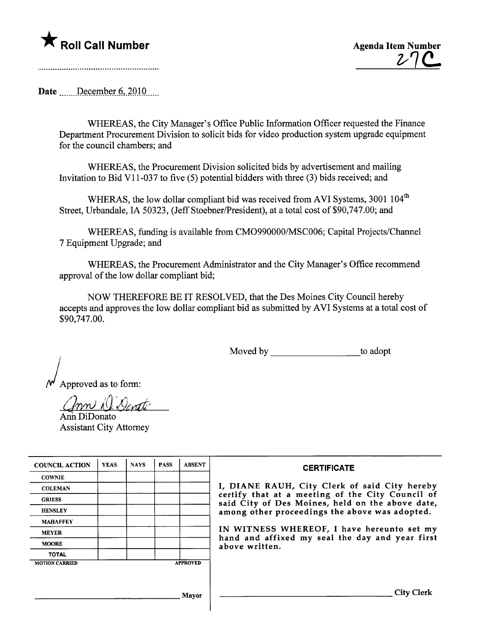## **The Roll Call Number Agents Contained Agents Agenda Item Number**



Date  $\frac{\text{December } 6,2010}{\text{December } 6,2010}$ 

WHEREAS, the City Manager's Office Public Information Officer requested the Finance Department Procurement Division to solicit bids for video production system upgrade equipment for the council chambers; and

WHEREAS, the Procurement Division solicited bids by advertisement and mailing Invitation to Bid VI 1-037 to five (5) potential bidders with three (3) bids received; and

WHERAS, the low dollar compliant bid was received from AVI Systems, 3001 104<sup>th</sup> Street, Urbandale, IA 50323, (Jeff Stoebner/President), at a total cost of \$90,747.00; and

WHEREAS, fuding is available from CM0990000/MSC006; Capital Projects/Chanel 7 Equipment Upgrade; and

WHEREAS, the Procurement Administrator and the City Manager's Office recommend approval of the low dollar compliant bid;

NOW THEREFORE BE IT RESOLVED, that the Des Moines City Council hereby accepts and approves the low dollar compliant bid as submitted by AVI Systems at a total cost of \$90,747.00.

Moved by to adopt

) Approved as to form:

( *( nn N. <u>Ventte</u>*<br>Ann DiDonato

Assistant City Attorney

| <b>COUNCIL ACTION</b> | <b>YEAS</b> | <b>NAYS</b> | <b>PASS</b> | <b>ABSENT</b>   | <b>CERTIFICATE</b>                                                                                   |
|-----------------------|-------------|-------------|-------------|-----------------|------------------------------------------------------------------------------------------------------|
| <b>COWNIE</b>         |             |             |             |                 |                                                                                                      |
| <b>COLEMAN</b>        |             |             |             |                 | I, DIANE RAUH, City Clerk of said City hereby                                                        |
| <b>GRIESS</b>         |             |             |             |                 | certify that at a meeting of the City Council of<br>said City of Des Moines, held on the above date, |
| <b>HENSLEY</b>        |             |             |             |                 | among other proceedings the above was adopted.                                                       |
| <b>MAHAFFEY</b>       |             |             |             |                 |                                                                                                      |
| <b>MEYER</b>          |             |             |             |                 | IN WITNESS WHEREOF, I have hereunto set my                                                           |
| <b>MOORE</b>          |             |             |             |                 | hand and affixed my seal the day and year first<br>above written.                                    |
| <b>TOTAL</b>          |             |             |             |                 |                                                                                                      |
| <b>MOTION CARRIED</b> |             |             |             | <b>APPROVED</b> |                                                                                                      |
|                       |             |             |             |                 |                                                                                                      |
|                       |             |             |             |                 |                                                                                                      |